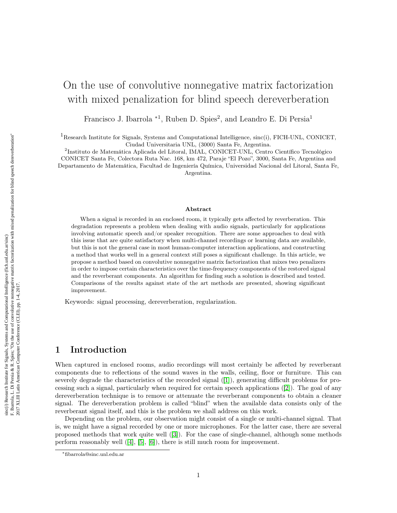# <span id="page-0-0"></span>On the use of convolutive nonnegative matrix factorization with mixed penalization for blind speech dereverberation

Francisco J. Ibarrola <sup>\*1</sup>, Ruben D. Spies<sup>2</sup>, and Leandro E. Di Persia<sup>1</sup>

 ${}^{1}$ Research Institute for Signals, Systems and Computational Intelligence, sinc(i), FICH-UNL, CONICET, Ciudad Universitaria UNL, (3000) Santa Fe, Argentina.

2 Instituto de Matemática Aplicada del Litoral, IMAL, CONICET-UNL, Centro Científico Tecnológico CONICET Santa Fe, Colectora Ruta Nac. 168, km 472, Paraje "El Pozo", 3000, Santa Fe, Argentina and Departamento de Matemática, Facultad de Ingeniería Química, Universidad Nacional del Litoral, Santa Fe, Argentina.

#### Abstract

When a signal is recorded in an enclosed room, it typically gets affected by reverberation. This degradation represents a problem when dealing with audio signals, particularly for applications involving automatic speech and/or speaker recognition. There are some approaches to deal with this issue that are quite satisfactory when multi-channel recordings or learning data are available, but this is not the general case in most human-computer interaction applications, and constructing a method that works well in a general context still poses a significant challenge. In this article, we propose a method based on convolutive nonnegative matrix factorization that mixes two penalizers in order to impose certain characteristics over the time-frequency components of the restored signal and the reverberant components. An algorithm for finding such a solution is described and tested. Comparisons of the results against state of the art methods are presented, showing significant improvement.

Keywords: signal processing, dereverberation, regularization.

## 1 Introduction

When captured in enclosed rooms, audio recordings will most certainly be affected by reverberant components due to reflections of the sound waves in the walls, ceiling, floor or furniture. This can severely degrade the characteristics of the recorded signal ([\[1\]](#page-5-0)), generating difficult problems for processing such a signal, particularly when required for certain speech applications ([\[2\]](#page-6-0)). The goal of any dereverberation technique is to remove or attenuate the reverberant components to obtain a cleaner signal. The dereverberation problem is called "blind" when the available data consists only of the reverberant signal itself, and this is the problem we shall address on this work.

Depending on the problem, our observation might consist of a single or multi-channel signal. That is, we might have a signal recorded by one or more microphones. For the latter case, there are several proposed methods that work quite well ([\[3\]](#page-6-1)). For the case of single-channel, although some methods perform reasonably well ([\[4\]](#page-6-2), [\[5\]](#page-6-3), [\[6\]](#page-6-4)), there is still much room for improvement.

<sup>∗</sup>fibarrola@sinc.unl.edu.ar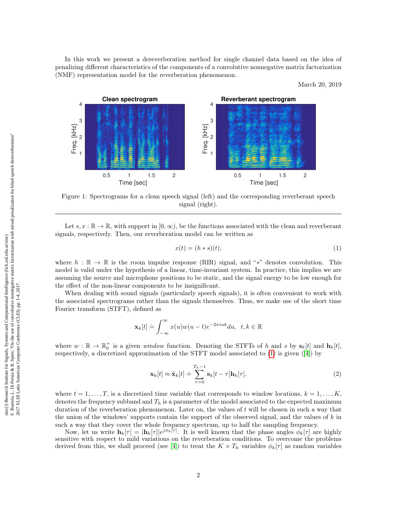In this work we present a dereverberation method for single channel data based on the idea of penalizing different characteristics of the components of a convolutive nonnegative matrix factorization (NMF) representation model for the reverberation phenomenon.

March 20, 2019

<span id="page-1-1"></span>

Figure 1: Spectrograms for a clean speech signal (left) and the corresponding reverberant speech signal (right).

Let  $s, x : \mathbb{R} \to \mathbb{R}$ , with support in  $[0, \infty)$ , be the functions associated with the clean and reverberant signals, respectively. Then, our reverberation model can be written as

<span id="page-1-0"></span>
$$
x(t) = (h * s)(t),\tag{1}
$$

where  $h : \mathbb{R} \to \mathbb{R}$  is the room impulse response (RIR) signal, and "\*" denotes convolution. This model is valid under the hypothesis of a linear, time-invariant system. In practice, this implies we are assuming the source and microphone positions to be static, and the signal energy to be low enough for the effect of the non-linear components to be insignificant.

When dealing with sound signals (particularly speech signals), it is often convenient to work with the associated spectrograms rather than the signals themselves. Thus, we make use of the short time Fourier transform (STFT), defined as

$$
\mathbf{x}_k[t] \doteq \int_{-\infty}^{\infty} x(u)w(u-t)e^{-2\pi iuk} du, \ \ t, k \in \mathbb{R}
$$

where  $w : \mathbb{R} \to \mathbb{R}_0^+$  is a given *window* function. Denoting the STFTs of h and s by  $s_k[t]$  and  $h_k[t]$ , respectively, a discretized approximation of the STFT model associated to [\(1\)](#page-1-0) is given ([\[4\]](#page-6-2)) by

$$
\mathbf{x}_{k}[t] \approx \tilde{\mathbf{x}}_{k}[t] \doteq \sum_{\tau=0}^{T_{h}-1} \mathbf{s}_{k}[t-\tau] \mathbf{h}_{k}[\tau], \qquad (2)
$$

where  $t = 1, \ldots, T$ , is a discretized time variable that corresponds to window locations,  $k = 1, \ldots, K$ , denotes the frequency subband and  $T_h$  is a parameter of the model associated to the expected maximum duration of the reverberation phenomenon. Later on, the values of  $t$  will be chosen in such a way that the union of the windows' supports contain the support of the observed signal, and the values of  $k$  in such a way that they cover the whole frequency spectrum, up to half the sampling frequency.

Now, let us write  $\mathbf{h}_k[\tau] = |\mathbf{h}_k[\tau]|e^{j\phi_k[\tau]}$ . It is well known that the phase angles  $\phi_k[\tau]$  are highly sensitive with respect to mild variations on the reverberation conditions. To overcome the problems derived from this, we shall proceed (see [\[4\]](#page-6-2)) to treat the  $K \times T_h$  variables  $\phi_k[\tau]$  as random variables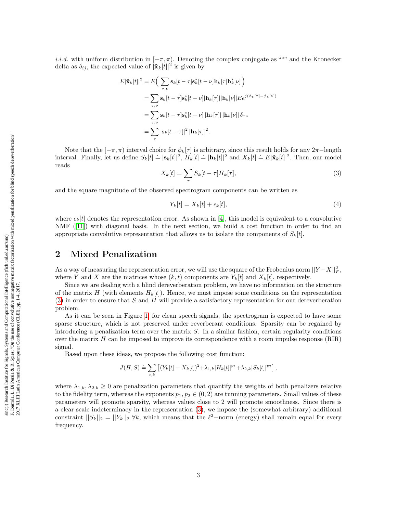i.i.d. with uniform distribution in  $[-\pi, \pi)$ . Denoting the complex conjugate as "\*" and the Kronecker delta as  $\delta_{ij}$ , the expected value of  $|\tilde{\mathbf{x}}_k[t]|^2$  is given by

$$
E|\tilde{\mathbf{x}}_k[t]|^2 = E\Big(\sum_{\tau,\nu} \mathbf{s}_k[t-\tau] \mathbf{s}_k^*[t-\nu] \mathbf{h}_k[\tau] \mathbf{h}_k^*[ \nu] \Big)
$$
  
= 
$$
\sum_{\tau,\nu} \mathbf{s}_k[t-\tau] \mathbf{s}_k^*[t-\nu] |\mathbf{h}_k[\tau]||\mathbf{h}_k[\nu] | E e^{j(\phi_k[\tau]-\phi_k[\nu])}
$$
  
= 
$$
\sum_{\tau,\nu} \mathbf{s}_k[t-\tau] \mathbf{s}_k^*[t-\nu] |\mathbf{h}_k[\tau] | |\mathbf{h}_k[\nu]| \delta_{\tau\nu}
$$
  
= 
$$
\sum_{\tau} |\mathbf{s}_k[t-\tau]|^2 |\mathbf{h}_k[\tau]|^2.
$$

<span id="page-2-0"></span>Note that the  $[-\pi, \pi)$  interval choice for  $\phi_k[\tau]$  is arbitrary, since this result holds for any 2π−length interval. Finally, let us define  $S_k[t] \doteq |\mathbf{s}_k[t]|^2$ ,  $H_k[t] \doteq |\mathbf{h}_k[t]|^2$  and  $X_k[t] \doteq E|\tilde{\mathbf{x}}_k[t]|^2$ . Then, our model reads

$$
X_k[t] = \sum_{\tau} S_k[t - \tau]H_k[\tau],\tag{3}
$$

and the square magnitude of the observed spectrogram components can be written as

$$
Y_k[t] = X_k[t] + \epsilon_k[t],\tag{4}
$$

where  $\epsilon_k[t]$  denotes the representation error. As shown in [\[4\]](#page-6-2), this model is equivalent to a convolutive NMF ([\[11\]](#page-6-5)) with diagonal basis. In the next section, we build a cost function in order to find an appropriate convolutive representation that allows us to isolate the components of  $S_k[t]$ .

#### 2 Mixed Penalization

As a way of measuring the representation error, we will use the square of the Frobenius norm  $||Y-X||_F^2$ , where Y and X are the matrices whose  $(k, t)$  components are  $Y_k[t]$  and  $X_k[t]$ , respectively.

Since we are dealing with a blind dereverberation problem, we have no information on the structure of the matrix H (with elements  $H_k[t]$ ). Hence, we must impose some conditions on the representation [\(3\)](#page-2-0) in order to ensure that S and H will provide a satisfactory representation for our dereverberation problem.

As it can be seen in Figure [1,](#page-1-1) for clean speech signals, the spectrogram is expected to have some sparse structure, which is not preserved under reverberant conditions. Sparsity can be regained by introducing a penalization term over the matrix S. In a similar fashion, certain regularity conditions over the matrix  $H$  can be imposed to improve its correspondence with a room impulse response (RIR) signal.

Based upon these ideas, we propose the following cost function:

$$
J(H, S) \doteq \sum_{t,k} \left[ (Y_k[t] - X_k[t])^2 + \lambda_{1,k} |H_k[t]|^{p_1} + \lambda_{2,k} |S_k[t]|^{p_2} \right],
$$

where  $\lambda_{1,k}, \lambda_{2,k} \geq 0$  are penalization parameters that quantify the weights of both penalizers relative to the fidelity term, whereas the exponents  $p_1, p_2 \in (0, 2)$  are tunning parameters. Small values of these parameters will promote sparsity, whereas values close to 2 will promote smoothness. Since there is a clear scale indeterminacy in the representation [\(3\)](#page-2-0), we impose the (somewhat arbitrary) additional constraint  $||S_k||_2 = ||Y_k||_2 \forall k$ , which means that the  $\ell^2$ -norm (energy) shall remain equal for every frequency.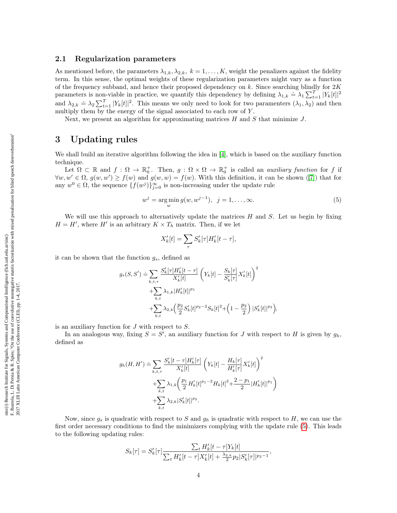#### 2.1 Regularization parameters

As mentioned before, the parameters  $\lambda_{1,k}, \lambda_{2,k}, k = 1, \ldots, K$ , weight the penalizers against the fidelity term. In this sense, the optimal weights of these regularization parameters might vary as a function of the frequency subband, and hence their proposed dependency on k. Since searching blindly for  $2K$ parameters is non-viable in practice, we quantify this dependency by defining  $\lambda_{1,k} \doteq \lambda_1 \sum_{t=1}^T |Y_k[t]|^2$ and  $\lambda_{2,k} = \lambda_2 \sum_{t=1}^T |Y_k[t]|^2$ . This means we only need to look for two paramenters  $(\lambda_1, \lambda_2)$  and then multiply them by the energy of the signal associated to each row of Y.

Next, we present an algorithm for approximating matrices  $H$  and  $S$  that minimize  $J$ .

#### 3 Updating rules

We shall build an iterative algorithm following the idea in [\[4\]](#page-6-2), which is based on the auxiliary function technique.

Let  $\Omega \subset \mathbb{R}$  and  $f: \Omega \to \mathbb{R}_0^+$ . Then,  $g: \Omega \times \Omega \to \mathbb{R}_0^+$  is called an *auxiliary function* for f if  $\forall w, w' \in \Omega, g(w, w') \ge f(w)$  and  $g(w, w) = f(w)$ . With this definition, it can be shown ([\[7\]](#page-6-6)) that for any  $w^0 \in \Omega$ , the sequence  $\{f(w^j)\}_{j=0}^{\infty}$  is non-increasing under the update rule

$$
w^{j} = \arg\min_{w} g(w, w^{j-1}), \ \ j = 1, \dots, \infty.
$$
 (5)

We will use this approach to alternatively update the matrices  $H$  and  $S$ . Let us begin by fixing  $H = H'$ , where H' is an arbitrary  $K \times T_h$  matrix. Then, if we let

<span id="page-3-0"></span>
$$
X'_{k}[t] = \sum_{\tau} S'_{k}[\tau]H'_{k}[t-\tau],
$$

it can be shown that the function  $g_s$ , defined as

$$
g_s(S, S') \doteq \sum_{k, t, \tau} \frac{S'_k[\tau]H'_k[t-\tau]}{X'_k[t]} \left(Y_k[t] - \frac{S_k[\tau]}{S'_k[\tau]} X'_k[t]\right)^2 + \sum_{k, t} \lambda_{1, k} |H'_k[t]|^{p_1} + \sum_{k, t} \lambda_{2, k} \left(\frac{p_2}{2} S'_k[t]^{p_2-2} S_k[t]^2 + \left(1 - \frac{p_2}{2}\right) |S'_k[t]|^{p_2}\right),
$$

is an auxiliary function for  $J$  with respect to  $S$ .

In an analogous way, fixing  $S = S'$ , an auxiliary function for J with respect to H is given by  $g_h$ , defined as

$$
g_h(H, H') \doteq \sum_{k, t, \tau} \frac{S'_k[t - \tau]H'_k[\tau]}{X'_k[t]} \left(Y_k[t] - \frac{H_k[\tau]}{H'_k[\tau]} X'_k[t]\right)^2
$$
  
+ 
$$
\sum_{k, t} \lambda_{1, k} \left(\frac{p_1}{2} H'_k[t]^{p_1 - 2} H_k[t]^2 + \frac{2 - p_1}{2} |H'_k[t]|^{p_1}\right)
$$
  
+ 
$$
\sum_{k, t} \lambda_{2, k} |S'_k[t]|^{p_2}.
$$

Now, since  $g_s$  is quadratic with respect to S and  $g_h$  is quadratic with respect to H, we can use the first order necessary conditions to find the minimizers complying with the update rule [\(5\)](#page-3-0). This leads to the following updating rules:

$$
S_k[\tau] = S'_k[\tau] \frac{\sum_t H'_k[t-\tau] Y_k[t]}{\sum_t H'_k[t-\tau] X'_k[t] + \frac{\lambda_{2,k}}{2} p_2 |S'_k[\tau]|^{p_2-1}},
$$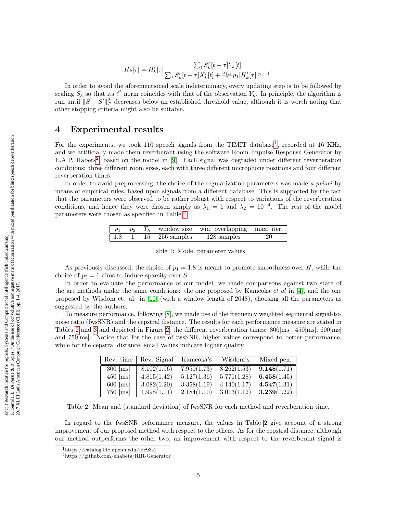$$
H_k[\tau] = H'_k[\tau] \frac{\sum_t S'_k[t-\tau] Y_k[t]}{\sum_t S'_k[t-\tau] X'_k[t] + \frac{\lambda_{1,k}}{2} p_1 |H'_k[\tau]|^{p_1-1}}.
$$

In order to avoid the aforementioned scale indeterminacy, every updating step is to be followed by scaling  $S_k$  so that its  $\ell^2$  norm coincides with that of the observation  $Y_k$ . In principle, the algorithm is run until  $||S - S'||_F^2$  decreases below an established threshold value, although it is worth noting that other stopping criteria might also be suitable.

## 4 Experimental results

For the experiments, we took [1](#page-0-0)10 speech signals from the TIMIT database<sup>1</sup>, recorded at 16 KHz, and we artificially made them reverberant using the software Room Impulse Response Generator by E.A.P. Habets<sup>[2](#page-0-0)</sup>, based on the model in [\[9\]](#page-6-7). Each signal was degraded under different reverberation conditions: three different room sizes, each with three different microphone positions and four different reverberation times.

<span id="page-4-0"></span>In order to avoid preprocessing, the choice of the regularization parameters was made a priori by means of empirical rules, based upon signals from a different database. This is supported by the fact that the parameters were observed to be rather robust with respect to variations of the reverberation conditions, and hence they were chosen simply as  $\lambda_1 = 1$  and  $\lambda_2 = 10^{-4}$ . The rest of the model parameters were chosen as specified in Table [1.](#page-4-0)

|  |  | $p_1$ $p_2$ $T_h$ window size win. overlapping max. iter. |  |
|--|--|-----------------------------------------------------------|--|
|  |  | 1.8 1 15 256 samples 128 samples 20                       |  |

Table 1: Model parameter values

As previously discussed, the choice of  $p_1 = 1.8$  is meant to promote smoothness over H, while the choice of  $p_2 = 1$  aims to induce sparsity over S.

In order to evaluate the performance of our model, we made comparisons against two state of the art methods under the same conditions: the one proposed by Kameoka  $et$  al in [\[4\]](#page-6-2), and the one proposed by Wisdom et. al. in [\[10\]](#page-6-8) (with a window length of 2048), choosing all the parameters as suggested by the authors.

<span id="page-4-1"></span>To measure performance, following [\[8\]](#page-6-9), we made use of the frequency weighted segmental signal-tonoise ratio (fwsSNR) and the cepstral distance. The results for each performance measure are stated in Tables [2](#page-4-1) and [3](#page-5-1) and depicted in Figure [2,](#page-5-2) the different reverberation times: 300[ms], 450[ms], 600[ms] and 750[ms]. Notice that for the case of fwsSNR, higher values correspond to better performance, while for the cepstral distance, small values indicate higher quality.

| Rev. time  | Rev. Signal | Kameoka's   | Wisdom's    | Mixed pen.  |
|------------|-------------|-------------|-------------|-------------|
| $300$ [ms] | 8.102(1.96) | 7.950(1.73) | 8.262(1.53) | 9.148(1.71) |
| $450$ [ms] | 4.815(1.42) | 5.127(1.36) | 5.771(1.28) | 6.458(1.45) |
| $600$ [ms] | 3.082(1.20) | 3.358(1.19) | 4.140(1.17) | 4.547(1.31) |
| $750$ [ms] | 1.998(1.11) | 2.184(1.10) | 3.013(1.12) | 3.239(1.22) |

Table 2: Mean and (standard deviation) of fwsSNR for each method and reverberation time.

In regard to the fwsSNR peformance measure, the values in Table [2](#page-4-1) give account of a strong improvement of our proposed method with respect to the others. As for the cepstral distance, although our method outperforms the other two, an improvement with respect to the reverberant signal is

<sup>1</sup>https://catalog.ldc.upenn.edu/ldc93s1

 $^2$ https://github.com/ehabets/RIR-Generator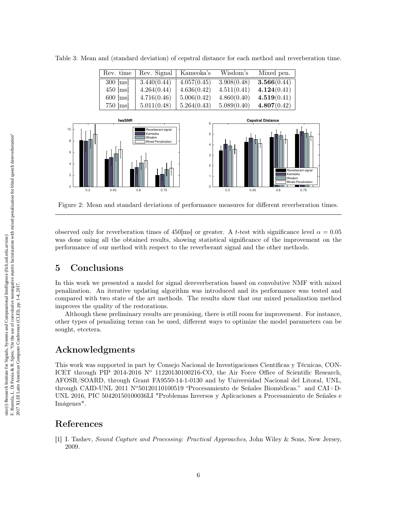<span id="page-5-1"></span>

| Table 3: Mean and (standard deviation) of cepstral distance for each method and reverberation time. |  |  |  |  |  |  |  |  |  |  |  |
|-----------------------------------------------------------------------------------------------------|--|--|--|--|--|--|--|--|--|--|--|
|-----------------------------------------------------------------------------------------------------|--|--|--|--|--|--|--|--|--|--|--|

| Rev. time  | Rev. Signal | Kameoka's   | Wisdom's    | Mixed pen.  |
|------------|-------------|-------------|-------------|-------------|
| $300$ [ms] | 3.440(0.44) | 4.057(0.45) | 3.908(0.48) | 3.566(0.44) |
| $450$ [ms] | 4.264(0.44) | 4.636(0.42) | 4.511(0.41) | 4.124(0.41) |
| $600$ [ms] | 4.716(0.46) | 5.006(0.42) | 4.860(0.40) | 4.519(0.41) |
| $750$ [ms] | 5.011(0.48) | 5.264(0.43) | 5.089(0.40) | 4.807(0.42) |

<span id="page-5-2"></span>

Figure 2: Mean and standard deviations of performance measures for different reverberation times.

observed only for reverberation times of 450[ms] or greater. A t-test with significance level  $\alpha = 0.05$ was done using all the obtained results, showing statistical significance of the improvement on the performance of our method with respect to the reverberant signal and the other methods.

# 5 Conclusions

In this work we presented a model for signal dereverberation based on convolutive NMF with mixed penalization. An iterative updating algorithm was introduced and its performance was tested and compared with two state of the art methods. The results show that our mixed penalization method improves the quality of the restorations.

Although these preliminary results are promising, there is still room for improvement. For instance, other types of penalizing terms can be used, different ways to optimize the model parameters can be sought, etcetera.

# Acknowledgments

This work was supported in part by Consejo Nacional de Investigaciones Científicas y Técnicas, CON-ICET through PIP 2014-2016  $N^{\circ}$  11220130100216-CO, the Air Force Office of Scientific Research, AFOSR/SOARD, through Grant FA9550-14-1-0130 and by Universidad Nacional del Litoral, UNL, through CAID-UNL 2011 N<sup>o</sup>50120110100519 "Procesamiento de Señales Biomédicas." and CAI+D-UNL 2016, PIC 50420150100036LI "Problemas Inversos y Aplicaciones a Procesamiento de Señales e Imágenes".

## References

<span id="page-5-0"></span>[1] I. Tashev, Sound Capture and Processing: Practical Approaches, John Wiley & Sons, New Jersey, 2009.